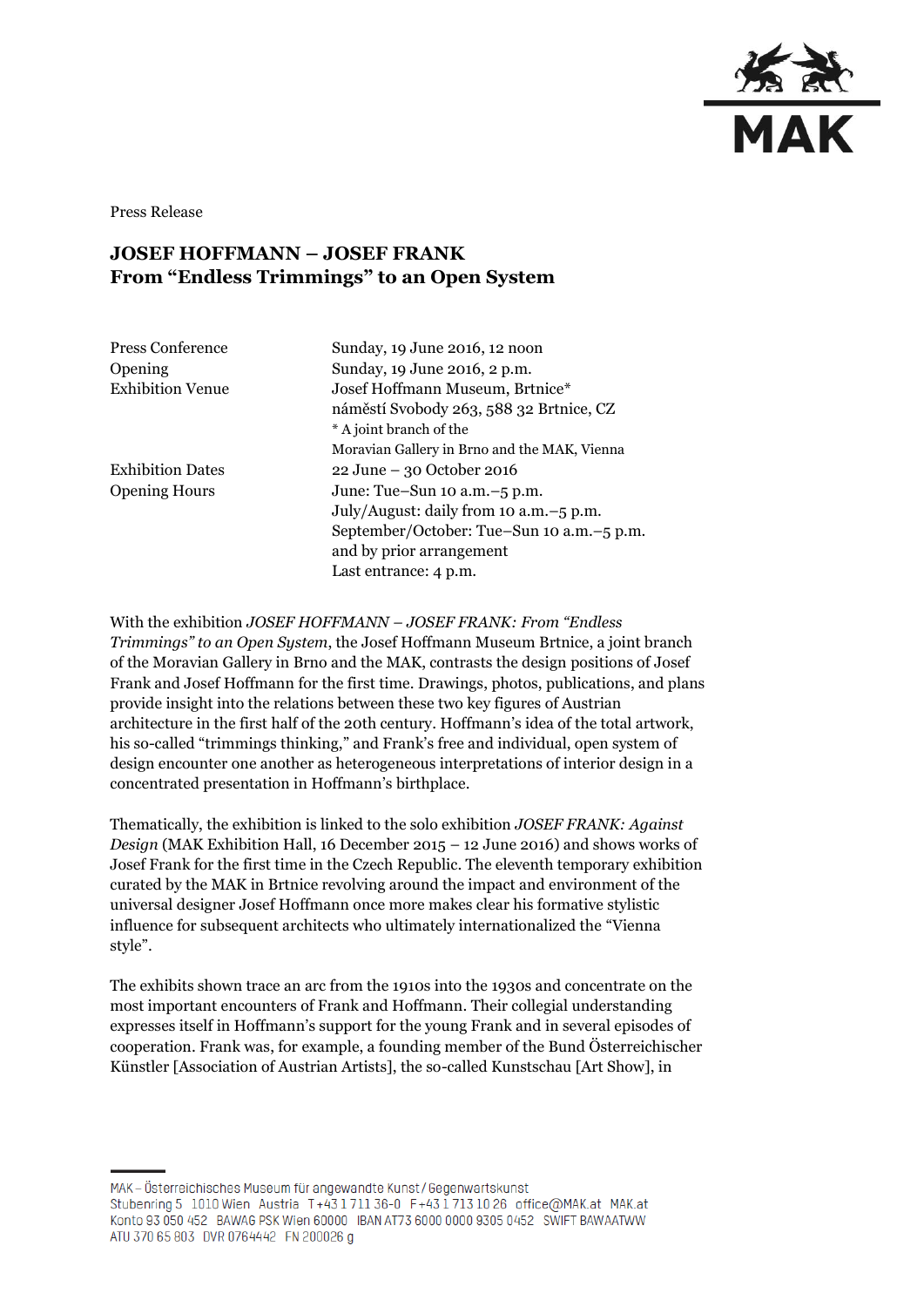

Press Release

## **JOSEF HOFFMANN – JOSEF FRANK From "Endless Trimmings" to an Open System**

| Press Conference        |
|-------------------------|
| Opening                 |
| <b>Exhibition Venue</b> |

Sunday, 19 June 2016, 12 noon Sunday, 19 June 2016, 2 p.m. Josef Hoffmann Museum, Brtnice\* náměstí Svobody 263, 588 32 Brtnice, CZ \* A joint branch of the Moravian Gallery in Brno and the MAK, Vienna Exhibition Dates 22 June – 30 October 2016 Opening Hours June: Tue–Sun 10 a.m.–5 p.m. July/August: daily from 10 a.m.–5 p.m. September/October: Tue–Sun 10 a.m.–5 p.m. and by prior arrangement Last entrance: 4 p.m.

With the exhibition *JOSEF HOFFMANN – JOSEF FRANK: From "Endless* 

*Trimmings" to an Open System*, the Josef Hoffmann Museum Brtnice, a joint branch of the Moravian Gallery in Brno and the MAK, contrasts the design positions of Josef Frank and Josef Hoffmann for the first time. Drawings, photos, publications, and plans provide insight into the relations between these two key figures of Austrian architecture in the first half of the 20th century. Hoffmann's idea of the total artwork, his so-called "trimmings thinking," and Frank's free and individual, open system of design encounter one another as heterogeneous interpretations of interior design in a concentrated presentation in Hoffmann's birthplace.

Thematically, the exhibition is linked to the solo exhibition *JOSEF FRANK: Against Design* (MAK Exhibition Hall, 16 December 2015 – 12 June 2016) and shows works of Josef Frank for the first time in the Czech Republic. The eleventh temporary exhibition curated by the MAK in Brtnice revolving around the impact and environment of the universal designer Josef Hoffmann once more makes clear his formative stylistic influence for subsequent architects who ultimately internationalized the "Vienna style".

The exhibits shown trace an arc from the 1910s into the 1930s and concentrate on the most important encounters of Frank and Hoffmann. Their collegial understanding expresses itself in Hoffmann's support for the young Frank and in several episodes of cooperation. Frank was, for example, a founding member of the Bund Österreichischer Künstler [Association of Austrian Artists], the so-called Kunstschau [Art Show], in

MAK-Österreichisches Museum für angewandte Kunst/Gegenwartskunst Stubenring 5 1010 Wien Austria T+43 1711 36-0 F+43 1713 10 26 office@MAK.at MAK.at Konto 93 050 452 BAWAG PSK Wien 60000 IBAN AT73 6000 0000 9305 0452 SWIFT BAWAATWW ATU 370 65 803 DVR 0764442 FN 200026 g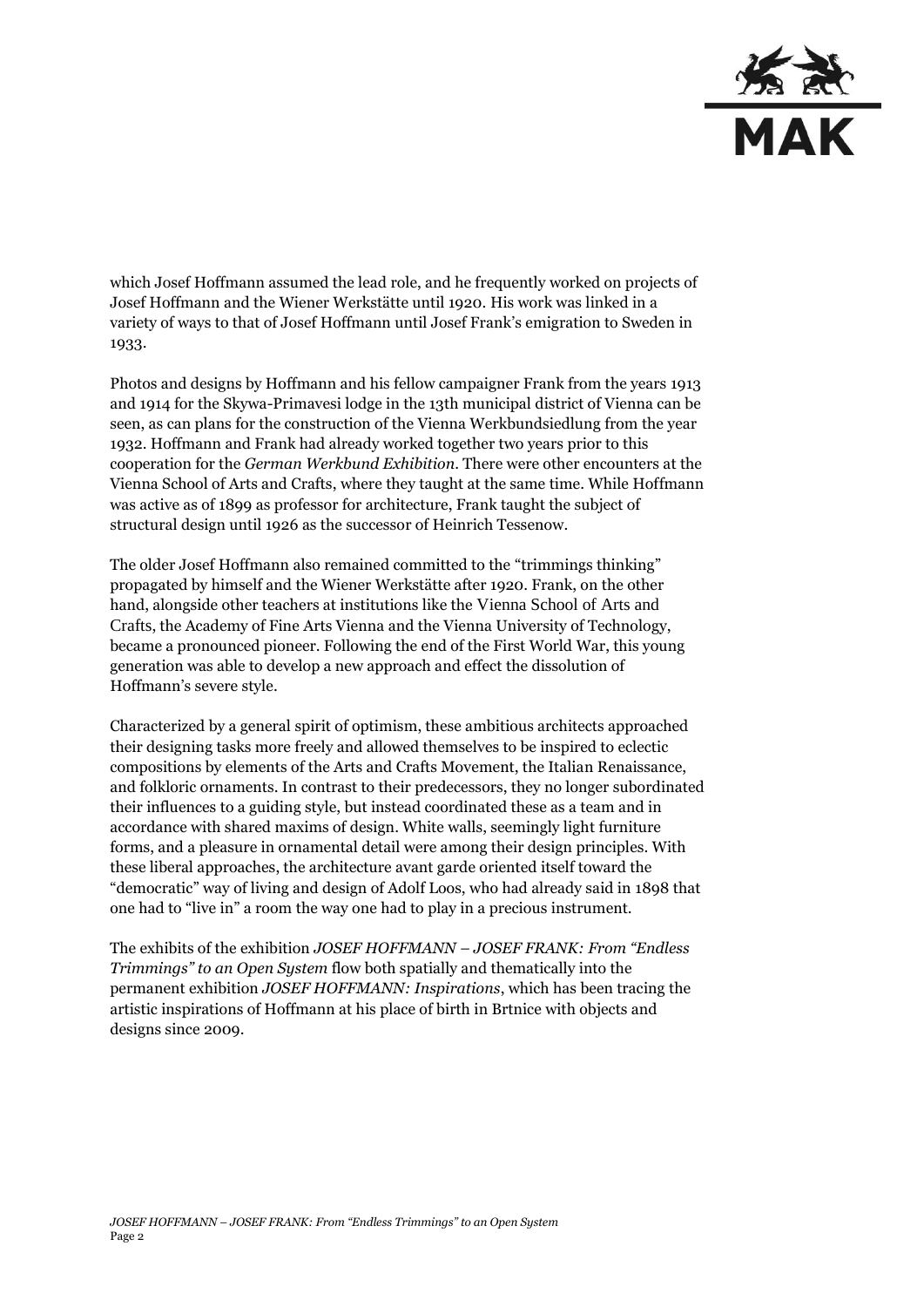

which Josef Hoffmann assumed the lead role, and he frequently worked on projects of Josef Hoffmann and the Wiener Werkstätte until 1920. His work was linked in a variety of ways to that of Josef Hoffmann until Josef Frank's emigration to Sweden in 1933.

Photos and designs by Hoffmann and his fellow campaigner Frank from the years 1913 and 1914 for the Skywa-Primavesi lodge in the 13th municipal district of Vienna can be seen, as can plans for the construction of the Vienna Werkbundsiedlung from the year 1932. Hoffmann and Frank had already worked together two years prior to this cooperation for the *German Werkbund Exhibition*. There were other encounters at the Vienna School of Arts and Crafts, where they taught at the same time. While Hoffmann was active as of 1899 as professor for architecture, Frank taught the subject of structural design until 1926 as the successor of Heinrich Tessenow.

The older Josef Hoffmann also remained committed to the "trimmings thinking" propagated by himself and the Wiener Werkstätte after 1920. Frank, on the other hand, alongside other teachers at institutions like the Vienna School of Arts and Crafts, the Academy of Fine Arts Vienna and the Vienna University of Technology, became a pronounced pioneer. Following the end of the First World War, this young generation was able to develop a new approach and effect the dissolution of Hoffmann's severe style.

Characterized by a general spirit of optimism, these ambitious architects approached their designing tasks more freely and allowed themselves to be inspired to eclectic compositions by elements of the Arts and Crafts Movement, the Italian Renaissance, and folkloric ornaments. In contrast to their predecessors, they no longer subordinated their influences to a guiding style, but instead coordinated these as a team and in accordance with shared maxims of design. White walls, seemingly light furniture forms, and a pleasure in ornamental detail were among their design principles. With these liberal approaches, the architecture avant garde oriented itself toward the "democratic" way of living and design of Adolf Loos, who had already said in 1898 that one had to "live in" a room the way one had to play in a precious instrument.

The exhibits of the exhibition *JOSEF HOFFMANN – JOSEF FRANK: From "Endless Trimmings" to an Open System* flow both spatially and thematically into the permanent exhibition *JOSEF HOFFMANN: Inspirations*, which has been tracing the artistic inspirations of Hoffmann at his place of birth in Brtnice with objects and designs since 2009.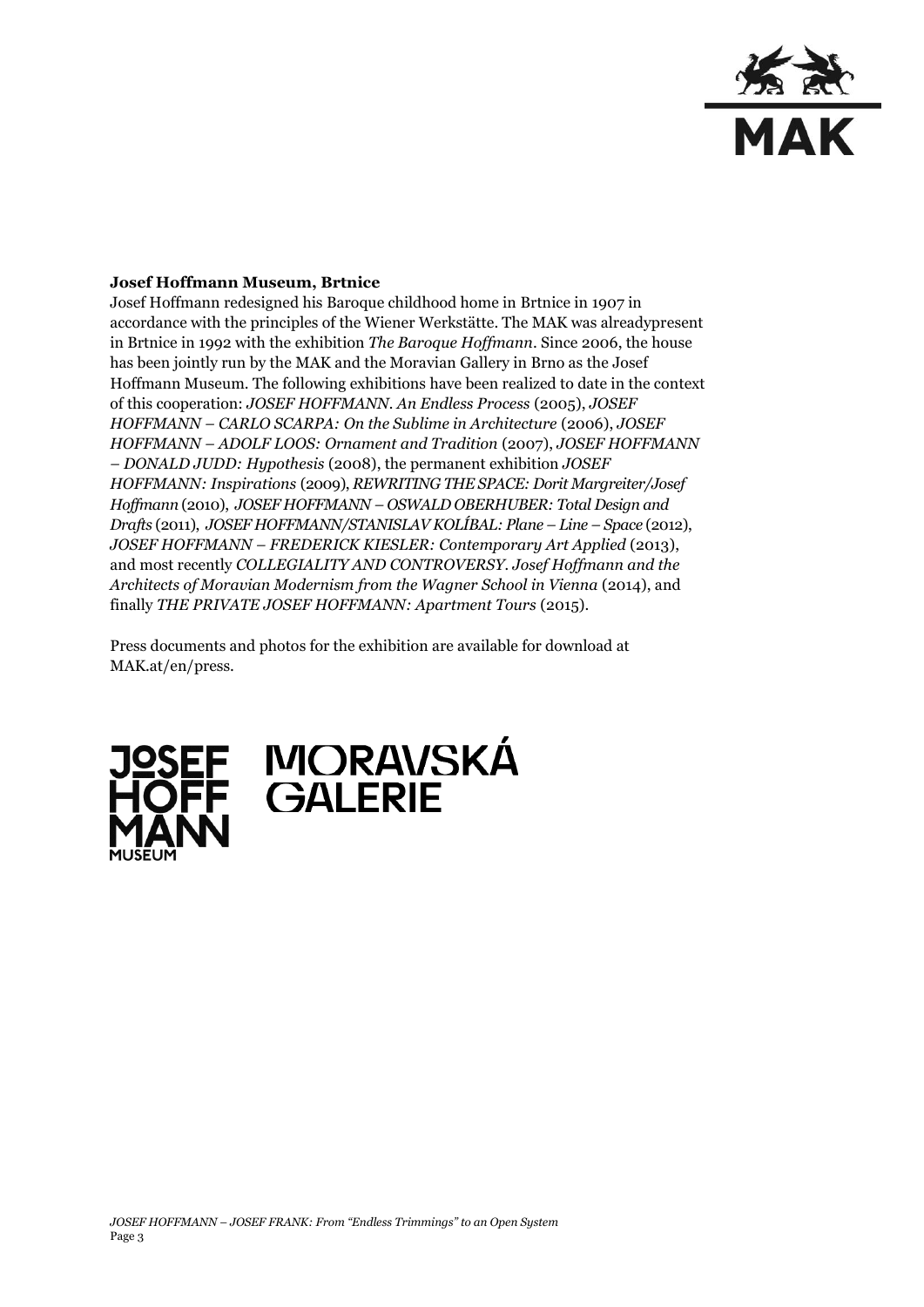

## **Josef Hoffmann Museum, Brtnice**

Josef Hoffmann redesigned his Baroque childhood home in Brtnice in 1907 in accordance with the principles of the Wiener Werkstätte. The MAK was alreadypresent in Brtnice in 1992 with the exhibition *The Baroque Hoffmann*. Since 2006, the house has been jointly run by the MAK and the Moravian Gallery in Brno as the Josef Hoffmann Museum. The following exhibitions have been realized to date in the context of this cooperation: *JOSEF HOFFMANN. An Endless Process* (2005), *JOSEF HOFFMANN – CARLO SCARPA: On the Sublime in Architecture* (2006), *JOSEF HOFFMANN – ADOLF LOOS: Ornament and Tradition* (2007), *JOSEF HOFFMANN – DONALD JUDD: Hypothesis* (2008), the permanent exhibition *JOSEF HOFFMANN: Inspirations* (2009), *REWRITING THE SPACE: Dorit Margreiter/Josef Hoffmann* (2010), *JOSEF HOFFMANN – OSWALD OBERHUBER: Total Design and Drafts* (2011), *JOSEF HOFFMANN/STANISLAV KOLÍBAL: Plane – Line – Space* (2012), *JOSEF HOFFMANN – FREDERICK KIESLER: Contemporary Art Applied* (2013), and most recently *COLLEGIALITY AND CONTROVERSY. Josef Hoffmann and the Architects of Moravian Modernism from the Wagner School in Vienna* (2014), and finally *THE PRIVATE JOSEF HOFFMANN: Apartment Tours* (2015).

Press documents and photos for the exhibition are available for download at MAK.at/en/press.



## JOSEF MORAVSKÁ<br>HOFF GALERIE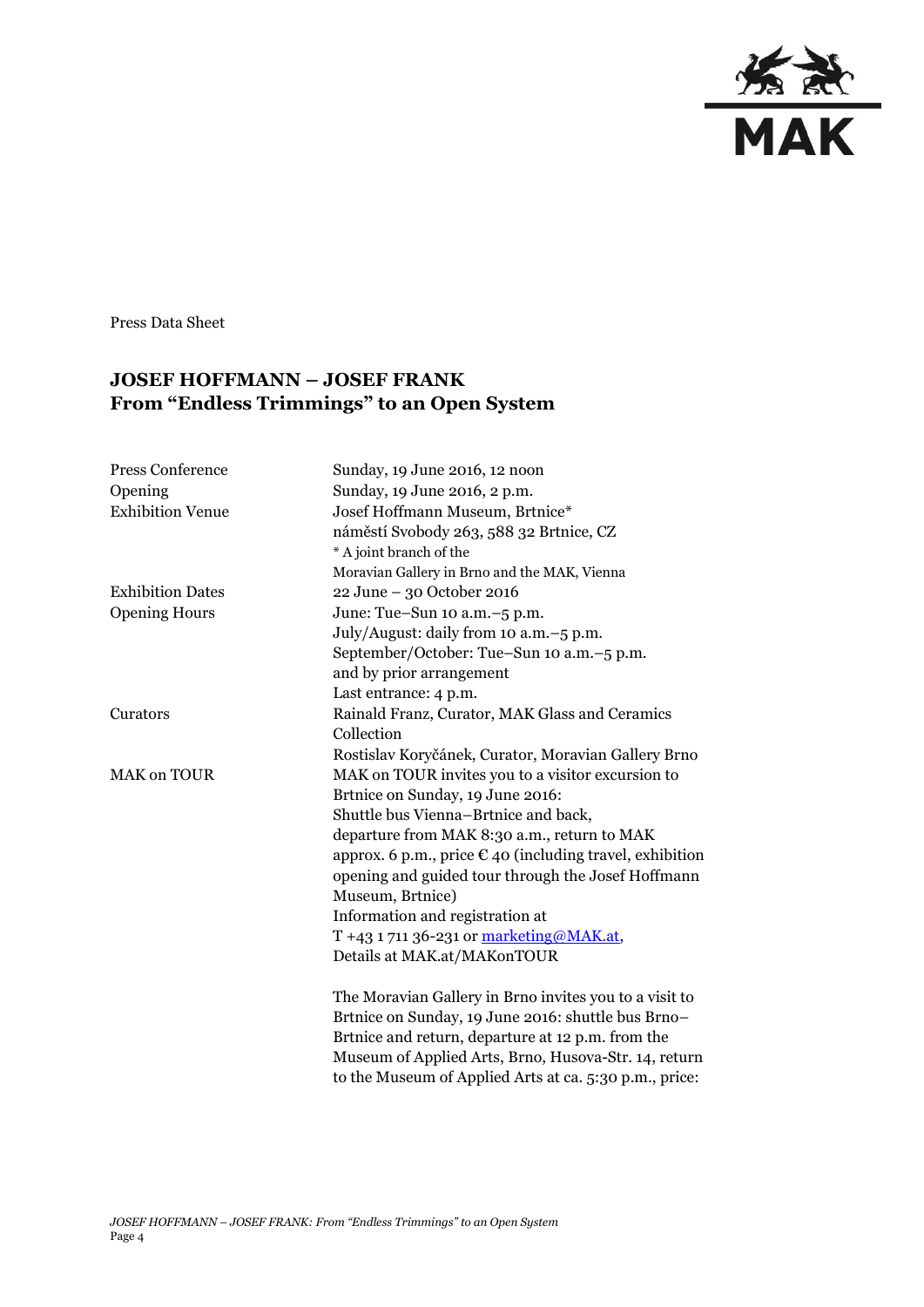

Press Data Sheet

## **JOSEF HOFFMANN – JOSEF FRANK From "Endless Trimmings" to an Open System**

| Press Conference        | Sunday, 19 June 2016, 12 noon                                     |
|-------------------------|-------------------------------------------------------------------|
| Opening                 | Sunday, 19 June 2016, 2 p.m.                                      |
| <b>Exhibition Venue</b> | Josef Hoffmann Museum, Brtnice*                                   |
|                         | náměstí Svobody 263, 588 32 Brtnice, CZ                           |
|                         | * A joint branch of the                                           |
|                         | Moravian Gallery in Brno and the MAK, Vienna                      |
| <b>Exhibition Dates</b> | 22 June - 30 October 2016                                         |
| <b>Opening Hours</b>    | June: Tue-Sun 10 a.m.-5 p.m.                                      |
|                         | July/August: daily from 10 a.m. -5 p.m.                           |
|                         | September/October: Tue-Sun 10 a.m.-5 p.m.                         |
|                         | and by prior arrangement                                          |
|                         | Last entrance: 4 p.m.                                             |
| Curators                | Rainald Franz, Curator, MAK Glass and Ceramics                    |
|                         | Collection                                                        |
|                         | Rostislav Koryčánek, Curator, Moravian Gallery Brno               |
| <b>MAK on TOUR</b>      | MAK on TOUR invites you to a visitor excursion to                 |
|                         | Brtnice on Sunday, 19 June 2016:                                  |
|                         | Shuttle bus Vienna-Brtnice and back,                              |
|                         | departure from MAK 8:30 a.m., return to MAK                       |
|                         | approx. 6 p.m., price $\epsilon$ 40 (including travel, exhibition |
|                         | opening and guided tour through the Josef Hoffmann                |
|                         | Museum, Brtnice)                                                  |
|                         | Information and registration at                                   |
|                         | T +43 1 711 36-231 or marketing@MAK.at,                           |
|                         | Details at MAK.at/MAKonTOUR                                       |
|                         | The Moravian Gallery in Brno invites you to a visit to            |
|                         | Brtnice on Sunday, 19 June 2016: shuttle bus Brno-                |
|                         | Brtnice and return, departure at 12 p.m. from the                 |
|                         | Museum of Applied Arts, Brno, Husova-Str. 14, return              |

to the Museum of Applied Arts at ca. 5:30 p.m., price: